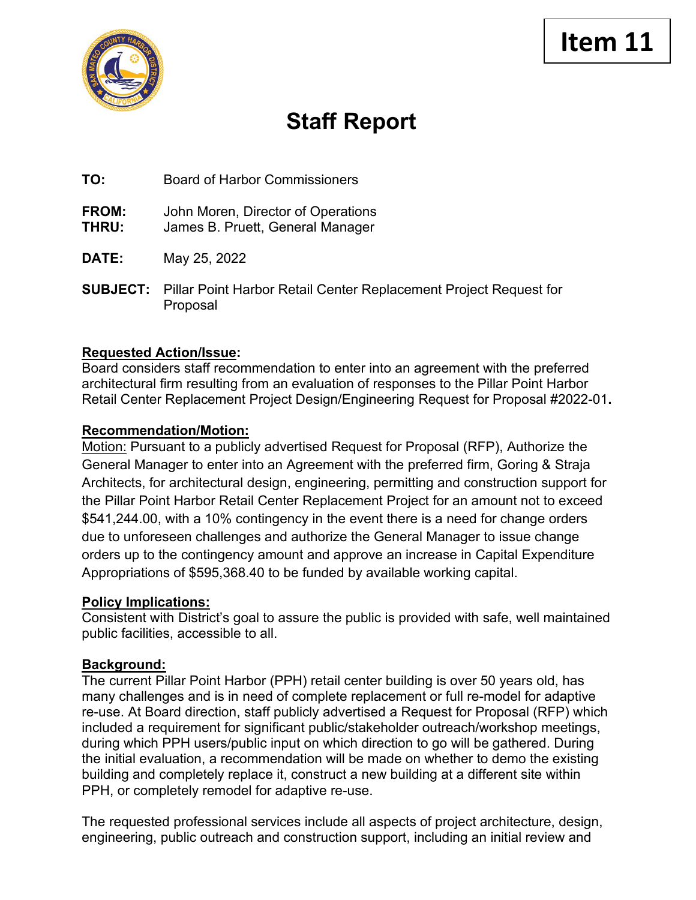

# **Staff Report**

**TO:** Board of Harbor Commissioners

**FROM:** John Moren, Director of Operations

- **THRU:** James B. Pruett, General Manager
- **DATE:** May 25, 2022
- **SUBJECT:** Pillar Point Harbor Retail Center Replacement Project Request for Proposal

## **Requested Action/Issue:**

Board considers staff recommendation to enter into an agreement with the preferred architectural firm resulting from an evaluation of responses to the Pillar Point Harbor Retail Center Replacement Project Design/Engineering Request for Proposal #2022-01**.**

## **Recommendation/Motion:**

Motion: Pursuant to a publicly advertised Request for Proposal (RFP), Authorize the General Manager to enter into an Agreement with the preferred firm, Goring & Straja Architects, for architectural design, engineering, permitting and construction support for the Pillar Point Harbor Retail Center Replacement Project for an amount not to exceed \$541,244.00, with a 10% contingency in the event there is a need for change orders due to unforeseen challenges and authorize the General Manager to issue change orders up to the contingency amount and approve an increase in Capital Expenditure Appropriations of \$595,368.40 to be funded by available working capital.

#### **Policy Implications:**

Consistent with District's goal to assure the public is provided with safe, well maintained public facilities, accessible to all.

## **Background:**

The current Pillar Point Harbor (PPH) retail center building is over 50 years old, has many challenges and is in need of complete replacement or full re-model for adaptive re-use. At Board direction, staff publicly advertised a Request for Proposal (RFP) which included a requirement for significant public/stakeholder outreach/workshop meetings, during which PPH users/public input on which direction to go will be gathered. During the initial evaluation, a recommendation will be made on whether to demo the existing building and completely replace it, construct a new building at a different site within PPH, or completely remodel for adaptive re-use.

The requested professional services include all aspects of project architecture, design, engineering, public outreach and construction support, including an initial review and